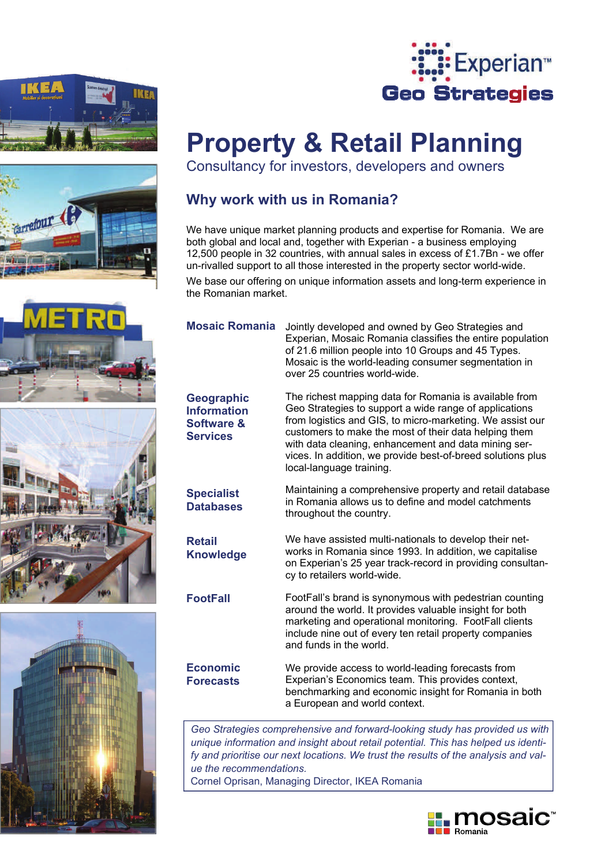





# **Property & Retail Planning**

Consultancy for investors, developers and owners

## **Why work with us in Romania?**

We have unique market planning products and expertise for Romania. We are both global and local and, together with Experian - a business employing 12,500 people in 32 countries, with annual sales in excess of £1.7Bn - we offer un-rivalled support to all those interested in the property sector world-wide.

We base our offering on unique information assets and long-term experience in the Romanian market.

**Geographic Information Software & Services** 

**Specialist Databases** 

**Retail Knowledge** 

**FootFall** 

**Economic Forecasts** 

**Mosaic Romania**  Jointly developed and owned by Geo Strategies and Experian, Mosaic Romania classifies the entire population of 21.6 million people into 10 Groups and 45 Types. Mosaic is the world-leading consumer segmentation in over 25 countries world-wide.

> The richest mapping data for Romania is available from Geo Strategies to support a wide range of applications from logistics and GIS, to micro-marketing. We assist our customers to make the most of their data helping them with data cleaning, enhancement and data mining services. In addition, we provide best-of-breed solutions plus local-language training.

Maintaining a comprehensive property and retail database in Romania allows us to define and model catchments throughout the country.

We have assisted multi-nationals to develop their networks in Romania since 1993. In addition, we capitalise on Experian's 25 year track-record in providing consultancy to retailers world-wide.

FootFall's brand is synonymous with pedestrian counting around the world. It provides valuable insight for both marketing and operational monitoring. FootFall clients include nine out of every ten retail property companies and funds in the world.

We provide access to world-leading forecasts from Experian's Economics team. This provides context, benchmarking and economic insight for Romania in both a European and world context.

*Geo Strategies comprehensive and forward-looking study has provided us with unique information and insight about retail potential. This has helped us identify and prioritise our next locations. We trust the results of the analysis and value the recommendations.* 

Cornel Oprisan, Managing Director, IKEA Romania